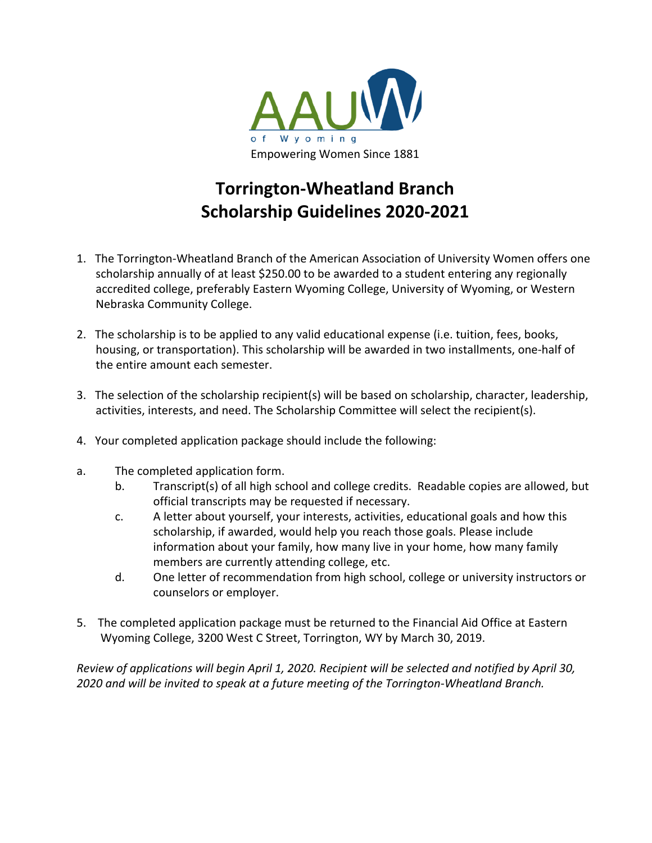

## **Torrington-Wheatland Branch Scholarship Guidelines 2020-2021**

- 1. The Torrington-Wheatland Branch of the American Association of University Women offers one scholarship annually of at least \$250.00 to be awarded to a student entering any regionally accredited college, preferably Eastern Wyoming College, University of Wyoming, or Western Nebraska Community College.
- 2. The scholarship is to be applied to any valid educational expense (i.e. tuition, fees, books, housing, or transportation). This scholarship will be awarded in two installments, one-half of the entire amount each semester.
- 3. The selection of the scholarship recipient(s) will be based on scholarship, character, leadership, activities, interests, and need. The Scholarship Committee will select the recipient(s).
- 4. Your completed application package should include the following:
- a. The completed application form.
	- b. Transcript(s) of all high school and college credits. Readable copies are allowed, but official transcripts may be requested if necessary.
	- c. A letter about yourself, your interests, activities, educational goals and how this scholarship, if awarded, would help you reach those goals. Please include information about your family, how many live in your home, how many family members are currently attending college, etc.
	- d. One letter of recommendation from high school, college or university instructors or counselors or employer.
- 5. The completed application package must be returned to the Financial Aid Office at Eastern Wyoming College, 3200 West C Street, Torrington, WY by March 30, 2019.

*Review of applications will begin April 1, 2020. Recipient will be selected and notified by April 30, 2020 and will be invited to speak at a future meeting of the Torrington-Wheatland Branch.*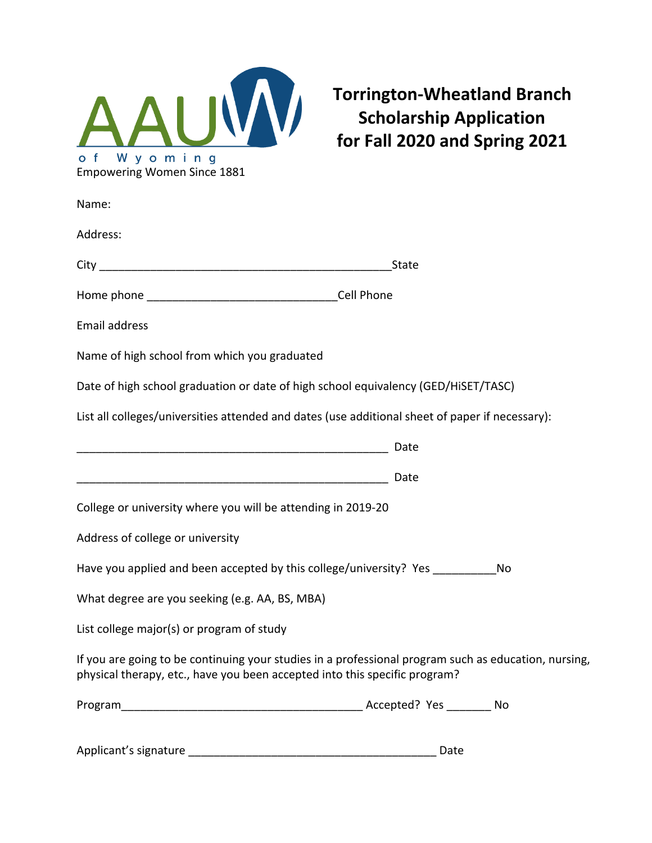

**Torrington-Wheatland Branch Scholarship Application for Fall 2020 and Spring 2021**

| Name:                                                                                                                                                                              |       |
|------------------------------------------------------------------------------------------------------------------------------------------------------------------------------------|-------|
| Address:                                                                                                                                                                           |       |
|                                                                                                                                                                                    | State |
|                                                                                                                                                                                    |       |
| <b>Email address</b>                                                                                                                                                               |       |
| Name of high school from which you graduated                                                                                                                                       |       |
| Date of high school graduation or date of high school equivalency (GED/HiSET/TASC)                                                                                                 |       |
| List all colleges/universities attended and dates (use additional sheet of paper if necessary):                                                                                    |       |
|                                                                                                                                                                                    | Date  |
|                                                                                                                                                                                    | Date  |
| College or university where you will be attending in 2019-20                                                                                                                       |       |
| Address of college or university                                                                                                                                                   |       |
| Have you applied and been accepted by this college/university? Yes ____________<br>No                                                                                              |       |
| What degree are you seeking (e.g. AA, BS, MBA)                                                                                                                                     |       |
| List college major(s) or program of study                                                                                                                                          |       |
| If you are going to be continuing your studies in a professional program such as education, nursing,<br>physical therapy, etc., have you been accepted into this specific program? |       |
|                                                                                                                                                                                    |       |
|                                                                                                                                                                                    |       |

Applicant's signature \_\_\_\_\_\_\_\_\_\_\_\_\_\_\_\_\_\_\_\_\_\_\_\_\_\_\_\_\_\_\_\_\_\_\_\_\_\_\_ Date